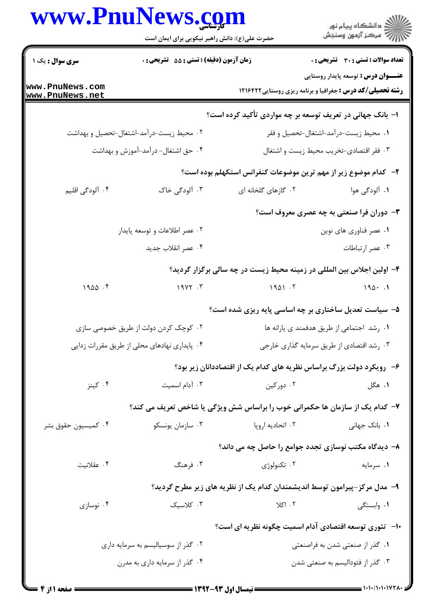## DnuMawa  $\overline{\phantom{a}}$

|                                    | حضرت علی(ع): دانش راهبر نیکویی برای ایمان است                                |                                                                          | ڪ دانشڪاه پيام نور<br>7ء مرڪز آزمون وسنڊش    |
|------------------------------------|------------------------------------------------------------------------------|--------------------------------------------------------------------------|----------------------------------------------|
| <b>سری سوال :</b> یک ۱             | <b>زمان آزمون (دقیقه) : تستی : 55 تشریحی : 0</b>                             |                                                                          | <b>تعداد سوالات : تستی : 30 ٪ تشریحی : 0</b> |
| www.PnuNews.com<br>www.PnuNews.net |                                                                              | <b>رشته تحصیلی/کد درس :</b> جغرافیا و برنامه ریزی روستایی ۱۲۱۶۴۲۲        | <b>عنـــوان درس :</b> توسعه پایدار روستایی   |
|                                    |                                                                              | ۱– بانک جهانی در تعریف توسعه بر چه مواردی تأکید کرده است؟                |                                              |
|                                    | ۰۲ محیط زیست-درآمد-اشتغال-تحصیل و بهداشت                                     |                                                                          | ۰۱ محیط زیست-درآمد-اشتغال-تحصیل و فقر        |
|                                    | ۰۴ حق اشتغال- درآمد-آموزش و بهداشت                                           |                                                                          | ۰۳ فقر اقتصادي-تخريب محيط زيست و اشتغال      |
|                                    |                                                                              | ۲- کدام موضوع زیر از مهم ترین موضوعات کنفرانس استکهلم بوده است؟          |                                              |
| ۰۴ آلودگی اقلیم                    | ۰۳ آلودگی خاک                                                                | ۰۲ گازهای گلخانه ای                                                      | ۰۱ آلودگی هوا                                |
|                                    |                                                                              |                                                                          | ۳- دوران فرا صنعتی به چه عصری معروف است؟     |
|                                    | ۲. عصر اطلاعات و توسعه پایدار                                                |                                                                          | ٠١ عصر فناوري هاي نوين                       |
|                                    | ۰۴ عصر انقلاب جديد                                                           |                                                                          | ۰۳ عصر ارتباطات                              |
|                                    |                                                                              | ۴- اولین اجلاس بین المللی در زمینه محیط زیست در چه سالی برگزار گردید؟    |                                              |
| 1900.9                             | $19YY \cdot Y$                                                               | 1901.7                                                                   | $190 \cdot .1$                               |
|                                    |                                                                              | ۵– سیاست تعدیل ساختاری بر چه اساسی پایه ریزی شده است؟                    |                                              |
|                                    | ۰۲ کوچک کردن دولت از طریق خصوصی سازی                                         |                                                                          | ٠١. رشد اجتماعي از طريق هدفمند ي يارانه ها   |
|                                    | ۴. پایداری نهادهای محلی از طریق مقررات زدایی                                 |                                                                          | ۰۳ رشد اقتصادي از طريق سرمايه گذاري خارجي    |
|                                    |                                                                              | ۶- رویکرد دولت بزرگ براساس نظریه های کدام یک از اقتصاددانان زیر بود؟     |                                              |
| ۰۴ کینز                            | ۰۳ آدام اسمیت                                                                | ۰۲ دورکین                                                                | ۰۱ هگل                                       |
|                                    | ۷- کدام یک از سازمان ها حکمرانی خوب را براساس شش ویژگی یا شاخص تعریف می کند؟ |                                                                          |                                              |
| ۰۴ کمیسیون حقوق بشر                | ۰۳ سازمان يونسكو                                                             | ۰۲ اتحادیه اروپا                                                         | ۰۱ بانک جهانی                                |
|                                    |                                                                              | ۸– دیدگاه مکتب نوسازی تجدد جوامع را حاصل چه می داند؟                     |                                              |
| ۰۴ عقلانیت                         | ۰۳ فرهنگ                                                                     | ۰۲ تکنولوژی                                                              | ۰۱ سرمایه                                    |
|                                    |                                                                              | ۹– مدل مرکز-پیرامون توسط اندیشمندان کدام یک از نظریه های زیر مطرح گردید؟ |                                              |
| ۰۴ نوسازی                          | ۰۳ کلاسیک                                                                    | ۰۲ اکلا                                                                  | ۰۱ وابستگی                                   |
|                                    |                                                                              | <b>۱۰</b> -   تئوری توسعه اقتصادی آدام اسمیت چگونه نظریه ای است؟         |                                              |
|                                    | ۰۲ گذر از سوسیالیسم به سرمایه داری                                           |                                                                          | ۰۱ گذر از صنعتی شدن به فراصنعتی              |
|                                    | ۰۴ گذر از سرمایه داری به مدرن                                                |                                                                          | ۰۳ گذر از فئودالیسم به صنعتی شدن             |
|                                    |                                                                              |                                                                          |                                              |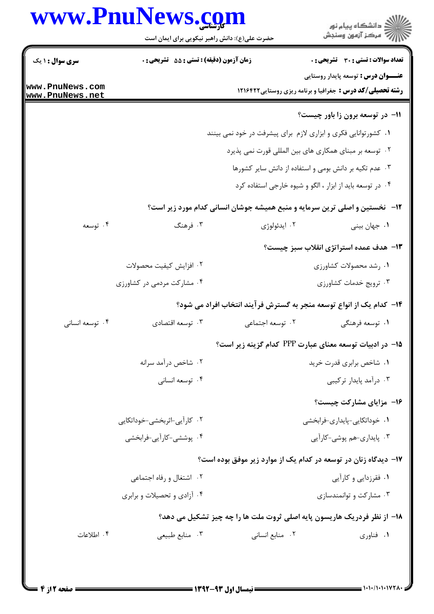## www.PnuNews.com

| www.PnuNews.com                    |                                             | حضرت علی(ع): دانش راهبر نیکویی برای ایمان است                  | ان دانشڪاه پيام نور<br>اڳ مرڪز آزمون وسنڊش                                                                      |
|------------------------------------|---------------------------------------------|----------------------------------------------------------------|-----------------------------------------------------------------------------------------------------------------|
| <b>سری سوال : ۱ یک</b>             | زمان آزمون (دقیقه) : تستی : 55 - تشریحی : 0 |                                                                | تعداد سوالات : تستى : 30 - تشريحي : 0                                                                           |
| www.PnuNews.com<br>www.PnuNews.net |                                             |                                                                | <b>عنـــوان درس :</b> توسعه پایدار روستایی<br><b>رشته تحصیلی/کد درس :</b> جغرافیا و برنامه ریزی روستایی ۱۲۱۶۴۲۲ |
|                                    |                                             |                                                                | 11- در توسعه برون زا باور چیست؟                                                                                 |
|                                    |                                             | ۰۱ کشورتوانایی فکری و ابزاری لازم برای پیشرفت در خود نمی بینند |                                                                                                                 |
|                                    |                                             |                                                                | ۰۲ توسعه بر مبنای همکاری های بین المللی قورت نمی پذیرد                                                          |
|                                    |                                             |                                                                | ۰۳ عدم تکیه بر دانش بومی و استفاده از دانش سایر کشورها                                                          |
|                                    |                                             |                                                                | ۰۴ در توسعه باید از ابزار ، الگو و شیوه خارجی استفاده کرد                                                       |
|                                    |                                             |                                                                | <b>۱۲</b> -   نخستین و اصلی ترین سرمایه و منبع همیشه جوشان انسانی کدام مورد زیر است؟                            |
| ۰۴ توسعه                           | ۰۳ فرهنگ                                    | ۰۲ ايدئولوژي                                                   | ۰۱ جهان بيني                                                                                                    |
|                                    |                                             |                                                                | ۱۳- هدف عمده استراتژی انقلاب سبز چیست؟                                                                          |
|                                    | ٢. افزايش كيفيت محصولات                     |                                                                | ۰۱ رشد محصولات کشاورزی                                                                                          |
|                                    | ۰۴ مشارکت مردمی در کشاورزی                  |                                                                | ۰۳ ترويج خدمات كشاورزي                                                                                          |
|                                    |                                             |                                                                | ۱۴– کدام یک از انواع توسعه منجر به گسترش فرآیند انتخاب افراد می شود؟                                            |
| ۰۴ توسعه انسانی                    | ۰۳ توسعه اقتصادي                            | ۰۲ توسعه اجتماعی                                               | ۰۱ توسعه فرهنگی                                                                                                 |
|                                    |                                             |                                                                | ۱۵– در ادبیات توسعه معنای عبارت PPP کدام گزینه زیر است؟                                                         |
|                                    | ۰۲ شاخص درآمد سرانه                         |                                                                | ۰۱ شاخص برابری قدرت خرید                                                                                        |
|                                    | ۰۴ توسعه انسانی                             |                                                                | ۰۳ درآمد پایدار ترکیبی                                                                                          |
|                                    |                                             |                                                                | ۱۶- مزایای مشارکت چیست؟                                                                                         |
|                                    | ۰۲ کارآیی-اثربخشی-خوداتکایی                 |                                                                | ٠١ خوداتكايي-پايداري-فرابخشي                                                                                    |
|                                    | ۰۴ پوششی-کارآیی-فرابخشی                     |                                                                | ۰۳ پایداری-هم پوشی-کارآیی                                                                                       |
|                                    |                                             |                                                                | ۱۷- دیدگاه زنان در توسعه در کدام یک از موارد زیر موفق بوده است؟                                                 |
|                                    | ۰۲ اشتغال و رفاه اجتماعی                    |                                                                | ۰۱ فقرزدایی و کارآیی                                                                                            |
|                                    | ۰۴ آزادی و تحصیلات و برابری                 |                                                                | ۰۳ مشارکت و توانمندسازی                                                                                         |
|                                    |                                             |                                                                | 18- از نظر فردریک هاریسون پایه اصلی ثروت ملت ها را چه چیز تشکیل می دهد؟                                         |
| ۰۴ اطلاعات                         | ۰۳ منابع طبیعی                              | ۰۲ منابع انسانی                                                | ٠١ فناوري                                                                                                       |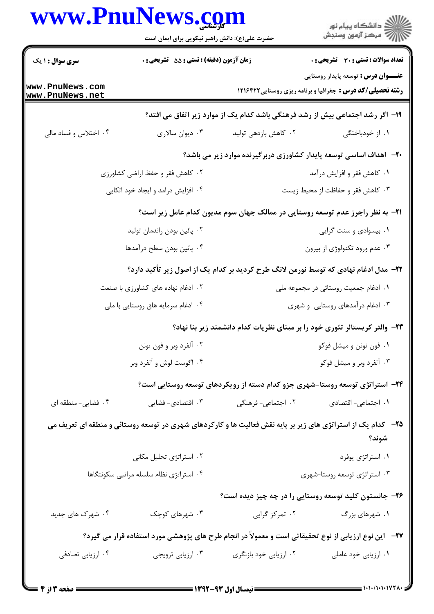|                                         | حضرت علی(ع): دانش راهبر نیکویی برای ایمان است |                                                                                                                     | ِ<br>∭ دانشڪاه پيام نور<br>∭ مرڪز آزمون وسنڊش                                                                   |
|-----------------------------------------|-----------------------------------------------|---------------------------------------------------------------------------------------------------------------------|-----------------------------------------------------------------------------------------------------------------|
| سری سوال : ۱ یک                         | زمان آزمون (دقیقه) : تستی : 55 گتشریحی : 0    |                                                                                                                     | <b>تعداد سوالات : تستی : 30 ٪ تشریحی : 0</b>                                                                    |
| www.PnuNews.com<br>www.PnuNews.net      |                                               |                                                                                                                     | <b>عنـــوان درس :</b> توسعه پایدار روستایی<br><b>رشته تحصیلی/کد درس :</b> جغرافیا و برنامه ریزی روستایی ۱۲۱۶۴۲۲ |
|                                         |                                               | ۱۹- اگر رشد اجتماعی بیش از رشد فرهنگی باشد کدام یک از موارد زیر اتفاق می افتد؟                                      |                                                                                                                 |
| ۰۴ اختلاس و فساد مالی                   | ۰۳ دیوان سالاری                               | ۰۲ کاهش بازدهی تولید                                                                                                | ۰۱ از خودباختگی                                                                                                 |
|                                         |                                               | ۲۰– اهداف اساسی توسعه پایدار کشاورزی دربرگیرنده موارد زیر می باشد؟                                                  |                                                                                                                 |
|                                         | ۰۲ کاهش فقر و حفظ اراضی کشاورزی               |                                                                                                                     | ۰۱ کاهش فقر و افزایش درآمد                                                                                      |
|                                         | ۰۴ افزایش درامد و ایجاد خود اتکایی            |                                                                                                                     | ۰۳ کاهش فقر و حفاظت از محیط زیست                                                                                |
|                                         |                                               | <b>۲۱</b> - به نظر راجرز عدم توسعه روستایی در ممالک جهان سوم مدیون کدام عامل زیر است؟                               |                                                                                                                 |
|                                         | ۰۲ پائین بودن راندمان تولید                   |                                                                                                                     | ۰۱ بیسوادی و سنت گرایی                                                                                          |
| ۰۴ پائین بودن سطح درآمدها               |                                               |                                                                                                                     | ۰۳ عدم ورود تکنولوژی از بیرون                                                                                   |
|                                         |                                               | <b>۲۲</b> – مدل ادغام نهادی که توسط نورمن لانگ طرح کردید بر کدام یک از اصول زیر تأکید دارد؟                         |                                                                                                                 |
|                                         | ۰۲ ادغام نهاده های کشاورزی با صنعت            |                                                                                                                     | ۰۱ ادغام جمعیت روستائی در مجموعه ملی                                                                            |
|                                         | ۰۴ ادغام سرمايه هاق روستايي با ملي            |                                                                                                                     | ۰۳ ادغام درآمدهای روستایی و شهری                                                                                |
|                                         |                                               | ۲۳– والتر کریستالر تئوری خود را بر مبنای نظریات کدام دانشمند زیر بنا نهاد؟                                          |                                                                                                                 |
|                                         | ۰۲ آلفرد وبر و فون تونن                       |                                                                                                                     | ۰۱ فون تونن و میشل فوکو                                                                                         |
|                                         | ۰۴ اگوست لوش و آلفرد وبر                      |                                                                                                                     | ۰۳ آلفرد وبر و میشل فوکو                                                                                        |
|                                         |                                               | ۲۴– استراتژی توسعه روستا-شهری جزو کدام دسته از رویکردهای توسعه روستایی است؟                                         |                                                                                                                 |
| ۰۴ فضایی- منطقه ای                      | ۰۳ اقتصادی- فضایی                             | ۰۲ اجتماعی- فرهنگی                                                                                                  | <b>۱.</b> اجتماعی- اقتصادی                                                                                      |
|                                         |                                               | <b>۲۵</b> - کدام یک از استراتژی های زیر بر پایه نقش فعالیت ها و کارکردهای شهری در توسعه روستائی و منطقه ای تعریف می | شوند؟                                                                                                           |
|                                         | ۰۲ استراتژی تحلیل مکانی                       |                                                                                                                     | ٠١ استراتژى يوفرد                                                                                               |
| ۰۴ استراتژی نظام سلسله مراتبی سکونتگاها |                                               |                                                                                                                     | ۰۳ استراتژی توسعه روستا-شهری                                                                                    |
|                                         |                                               | ۲۶- جانستون کلید توسعه روستایی را در چه چیز دیده است؟                                                               |                                                                                                                 |
| ۰۴ شهرک های جدید                        | ۰۳ شهرهای کوچک                                | ۰۲ تمرکز گرایی                                                                                                      | ۰۱ شهرهای بزرگ                                                                                                  |
|                                         |                                               | <b>۲۷</b> - آین نوع ارزیابی از نوع تحقیقاتی است و معمولاً در انجام طرح های پژوهشی مورد استفاده قرار می گیرد؟        |                                                                                                                 |
| ۰۴ ارزیابی تصادفی                       | ۰۳ ارزیابی ترویجی                             | ۰۲ ارزیابی خود بازنگری                                                                                              | ۰۱ ارزیابی خود عاملی                                                                                            |